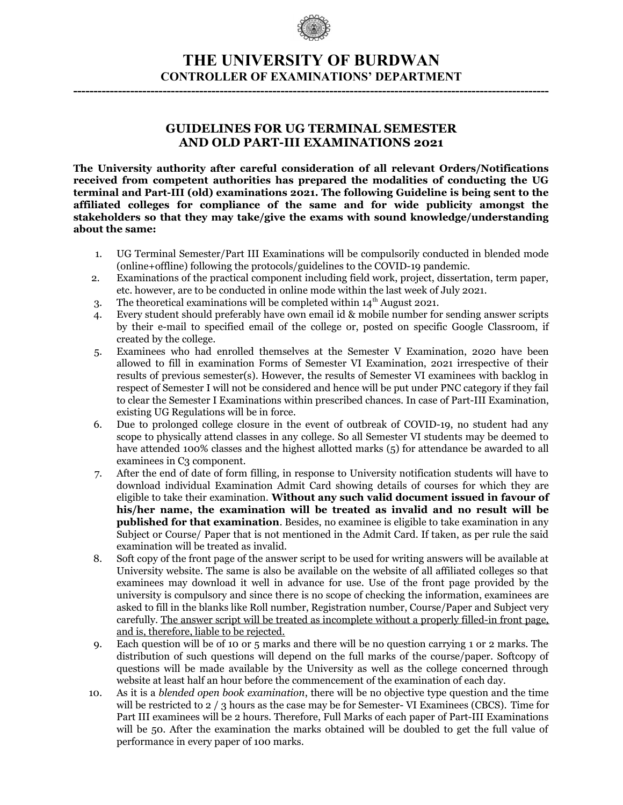

## **THE UNIVERSITY OF BURDWAN CONTROLLER OF EXAMINATIONS' DEPARTMENT**

**---------------------------------------------------------------------------------------------------------------------**

#### **GUIDELINES FOR UG TERMINAL SEMESTER AND OLD PART-III EXAMINATIONS 2021**

**The University authority after careful consideration of all relevant Orders/Notifications received from competent authorities has prepared the modalities of conducting the UG terminal and Part-III (old) examinations 2021. The following Guideline is being sent to the affiliated colleges for compliance of the same and for wide publicity amongst the stakeholders so that they may take/give the exams with sound knowledge/understanding about the same:** 

- 1. UG Terminal Semester/Part III Examinations will be compulsorily conducted in blended mode (online+offline) following the protocols/guidelines to the COVID-19 pandemic.
- 2. Examinations of the practical component including field work, project, dissertation, term paper, etc. however, are to be conducted in online mode within the last week of July 2021.
- 3. The theoretical examinations will be completed within  $14<sup>th</sup>$  August 2021.
- 4. Every student should preferably have own email id & mobile number for sending answer scripts by their e-mail to specified email of the college or, posted on specific Google Classroom, if created by the college.
- 5. Examinees who had enrolled themselves at the Semester V Examination, 2020 have been allowed to fill in examination Forms of Semester VI Examination, 2021 irrespective of their results of previous semester(s). However, the results of Semester VI examinees with backlog in respect of Semester I will not be considered and hence will be put under PNC category if they fail to clear the Semester I Examinations within prescribed chances. In case of Part-III Examination, existing UG Regulations will be in force.
- 6. Due to prolonged college closure in the event of outbreak of COVID-19, no student had any scope to physically attend classes in any college. So all Semester VI students may be deemed to have attended 100% classes and the highest allotted marks (5) for attendance be awarded to all examinees in C<sub>3</sub> component.
- 7. After the end of date of form filling, in response to University notification students will have to download individual Examination Admit Card showing details of courses for which they are eligible to take their examination. **Without any such valid document issued in favour of his/her name, the examination will be treated as invalid and no result will be published for that examination**. Besides, no examinee is eligible to take examination in any Subject or Course/ Paper that is not mentioned in the Admit Card. If taken, as per rule the said examination will be treated as invalid.
- 8. Soft copy of the front page of the answer script to be used for writing answers will be available at University website. The same is also be available on the website of all affiliated colleges so that examinees may download it well in advance for use. Use of the front page provided by the university is compulsory and since there is no scope of checking the information, examinees are asked to fill in the blanks like Roll number, Registration number, Course/Paper and Subject very carefully. The answer script will be treated as incomplete without a properly filled-in front page, and is, therefore, liable to be rejected.
- 9. Each question will be of 10 or 5 marks and there will be no question carrying 1 or 2 marks. The distribution of such questions will depend on the full marks of the course/paper. Softcopy of questions will be made available by the University as well as the college concerned through website at least half an hour before the commencement of the examination of each day.
- 10. As it is a *blended open book examination*, there will be no objective type question and the time will be restricted to 2 / 3 hours as the case may be for Semester- VI Examinees (CBCS). Time for Part III examinees will be 2 hours. Therefore, Full Marks of each paper of Part-III Examinations will be 50. After the examination the marks obtained will be doubled to get the full value of performance in every paper of 100 marks.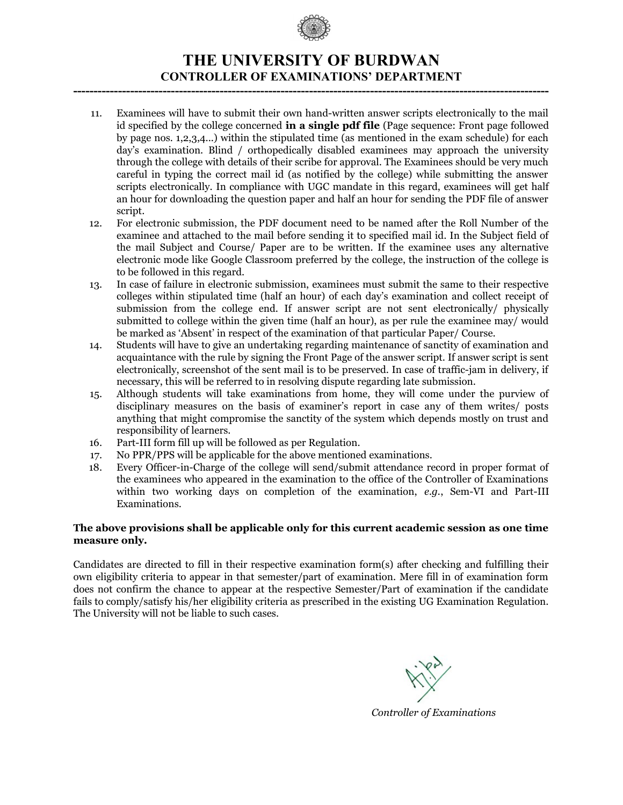

## **THE UNIVERSITY OF BURDWAN CONTROLLER OF EXAMINATIONS' DEPARTMENT**

**---------------------------------------------------------------------------------------------------------------------**

- 11. Examinees will have to submit their own hand-written answer scripts electronically to the mail id specified by the college concerned **in a single pdf file** (Page sequence: Front page followed by page nos. 1,2,3,4...) within the stipulated time (as mentioned in the exam schedule) for each day's examination. Blind / orthopedically disabled examinees may approach the university through the college with details of their scribe for approval. The Examinees should be very much careful in typing the correct mail id (as notified by the college) while submitting the answer scripts electronically. In compliance with UGC mandate in this regard, examinees will get half an hour for downloading the question paper and half an hour for sending the PDF file of answer script.
- 12. For electronic submission, the PDF document need to be named after the Roll Number of the examinee and attached to the mail before sending it to specified mail id. In the Subject field of the mail Subject and Course/ Paper are to be written. If the examinee uses any alternative electronic mode like Google Classroom preferred by the college, the instruction of the college is to be followed in this regard.
- 13. In case of failure in electronic submission, examinees must submit the same to their respective colleges within stipulated time (half an hour) of each day's examination and collect receipt of submission from the college end. If answer script are not sent electronically/ physically submitted to college within the given time (half an hour), as per rule the examinee may/ would be marked as 'Absent' in respect of the examination of that particular Paper/ Course.
- 14. Students will have to give an undertaking regarding maintenance of sanctity of examination and acquaintance with the rule by signing the Front Page of the answer script. If answer script is sent electronically, screenshot of the sent mail is to be preserved. In case of traffic-jam in delivery, if necessary, this will be referred to in resolving dispute regarding late submission.
- 15. Although students will take examinations from home, they will come under the purview of disciplinary measures on the basis of examiner's report in case any of them writes/ posts anything that might compromise the sanctity of the system which depends mostly on trust and responsibility of learners.
- 16. Part-III form fill up will be followed as per Regulation.
- 17. No PPR/PPS will be applicable for the above mentioned examinations.
- 18. Every Officer-in-Charge of the college will send/submit attendance record in proper format of the examinees who appeared in the examination to the office of the Controller of Examinations within two working days on completion of the examination, *e.g.*, Sem-VI and Part-III Examinations.

#### **The above provisions shall be applicable only for this current academic session as one time measure only.**

Candidates are directed to fill in their respective examination form(s) after checking and fulfilling their own eligibility criteria to appear in that semester/part of examination. Mere fill in of examination form does not confirm the chance to appear at the respective Semester/Part of examination if the candidate fails to comply/satisfy his/her eligibility criteria as prescribed in the existing UG Examination Regulation. The University will not be liable to such cases.

*Controller of Examinations*